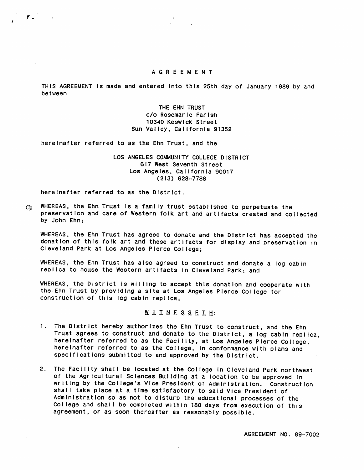## AGREEMENT

THIS AGREEMENT Is made and entered Into this 25th day of January 1989 by and between

> THE EHN TRUST c/o Rosemarie Farish 10340 Keswick Street Sun Valley, California 91352

hereinafter referred to as the Ehn Trust, and the

LOS ANGELES COMMUNITY COLLEGE DISTRICT 617 West Seventh Street Los Angeles, California 90017  $(213)$  628-7788

here inafter referred to as the District.

r\*.

WHEREAS, the Ehn Trust is a family trust established to perpetuate the  $\omega$ preservation and care of Western folk art and artifacts created and collected by John Ehn:

WHEREAS, the Ehn Trust has agreed to donate and the District has accepted the donation of this folk art and these artifacts for display and preservation in Cleveland Park at Los Angeles Pierce College;

WHEREAS, the Ehn Trust has also agreed to construct and donate a log cabin replica to house the Western artifacts in Cleveland Park; and

WHEREAS, the District Is willing to accept this donation and cooperate with the Ehn Trust by providing a site at Los Angeles Pierce College for construction of this log cabin replica:

WIINESSEIH:

- 1. The District hereby authorizes the Ehn Trust to construct, and the Ehn Trust agrees to construct and donate to the District, a log cabin replica, hereinafter referred to as the Facility, at Los Angeles Pierce College, hereinafter referred to as the College, In conformance with plans and s pecifications submitted to and approved by the District.
- 2. The Facility shall be located at the College In Cleveland Park northwest of the Agricultural Sciences Building at a location to be approved in writing by the College's Vice President of Administration. Construction shall take place at a time satisfactory to said Vice President of Administration so as not to disturb the educational processes of the College and shall be completed within 180 days from execution of this agreement, or as soon thereafter as reasonably possible.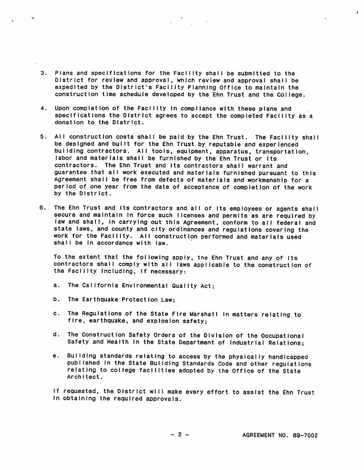- 3. Plans and specifications for the Facility shall be submitted to the District for review and approval, which review and approval shall be expedited by the District's Facility Planning Office to maintain the construction time schedule developed by the Ehn Trust and the College.
- 4. Upon completion of the Facility in compliance with these plans and specifications the District agrees to accept the completed Facility as a donation to the District.
- 5. All construction costs shall be paid by the Ehn Trust. The Facility shall be designed and built for the Ehn Trust by reputable and experienced building contractors. All toois, equipment, apparatus, transportation, labor and materials shall be furnished by the Ehn Trust or its contractors. The Ehn Trust and its contractors shall warrant and guarantee that all work executed and materials furnished pursuant to this Agreement shall be free from defects of materials and workmanship for a period of one year from the date of acceptance of completion of the work by the District.
- 6. The Ehn Trust and its contractors and all of its employees or agents shall secure and maintain in force such licenses and permits as are required by law and shall, in carrying out this Agreement, conform to all federal and state laws, and county and city ordinances and regulations covering the work for the Facility. All construction performed and materials used shall be in accordance with law.

To the extent that the following apply, the Ehn Trust and any of Its contractors shall comply with all laws applicable to the construction of the Facility Including, if necessary:

- a. The California Environmental Quality Act;
- b. The Earthquake Protection Law:
- c. The Regulations of the State Fire Marshall In matters relating to fire, earthquake, and explosion safety;
- d. The Construction Safety Orders of the Division of the Occupational Safety and Health In the State Department of Industrial Relations;
- e. Building standards relating to access by the physically handicapped published In the State Building Standards Code and other regulations relating to college facilities adopted by the Office of the State Architect.

if requested, the District will make every effort to assist the Ehn Trust in obtaining the required approvals.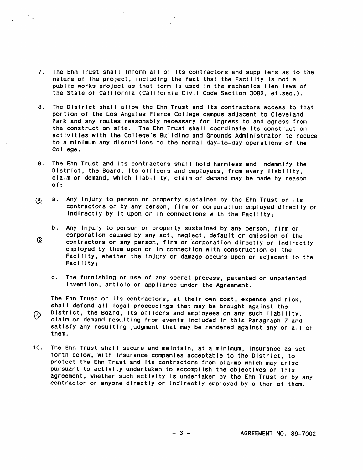7. The Ehn Trust shall inform all of its contractors and suppliers as to the nature of the project, including the fact that the Facility is not a public works project as that term is used in the mechanics lien laws of the State of California (California Civil Code Section 3082, et.seq.).

 $\mathcal{L}$ 

- 8. The District shall allow the Ehn Trust and its contractors access to that portion of the Los Angeles Pierce College campus adjacent to Cleveland Park and any routes reasonably necessary for ingress to and egress from the construction site. The Ehn Trust shall coordinate its construction activities with the College's Building and Grounds Administrator to reduce to a minimum any disruptions to the normal day-to-day operations of the Col lege.
- 9. The Ehn Trust and its contractors shall hold harmless and Indemnify the D istrict, the Board, its officers and employees, from every liability, claim or demand, which liability, claim or demand may be made by reason of:
- a. Any injury to person or property sustained by the Ehn Trust or its  $\mathcal{O}$ contractors or by any person, firm or corporation employed directly or indirectly by it upon or in connections with the Facility;
- b. Any Injury to person or property sustained by any person, firm or corporation caused by any act, neglect, default or omission of the<br>contractors or any person, firm or corporation directly or indirectly employed by them upon or in connection with construction of the Facility, whether the Injury or damage occurs upon or adjacent to the Facility;
	- c. The furnishing or use of any secret process, patented or unpatented Invention, article or appliance under the Agreement.

The Ehn Trust or Its contractors, at their own cost, expense and risk, shall defend all legal proceedings that may be brought against the  $\odot$  District, the Board, its officers and employees on any such liability,<br>claim or demand resulting from events included in this Paragraph 7 and satisfy any resulting judgment that may be rendered against any or all of them.

10. The Ehn Trust shall secure and maintain, at a minimum. Insurance as set forth below, with Insurance companies acceptable to the District, to protect the Ehn Trust and Its contractors from claims which may arise pur suant to activity undertaken to accomplish the objectives of this agreement, whether such activity Is undertaken by the Ehn Trust or by any contractor or anyone directly or Indirectly employed by either of them.

- 3 - AGREEMENT NO. 89-7002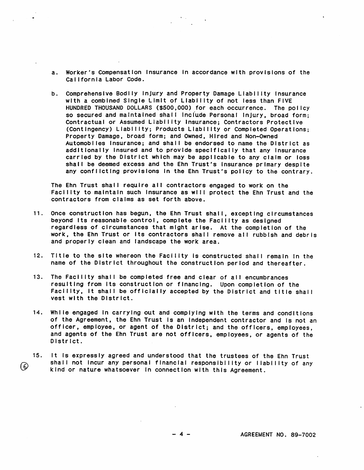- a. Worker's Compensation insurance in accordance with provisions of the California Labor Code.
- b. Comprehensive Bodlly Injury and Property Damage Liability Insurance with a combined Single Limit of Liability of not less than FIVE HUNDRED THOUSAND DOLLARS (\$500,000) for each occurrence. The policy so secured and maintained shall include Personal Injury, broad form; Contractual or Assumed Liability Insurance; Contractors Protective ( Contingency ) Liability; Products Liability or Completed Operations; Property Damage, broad form; and Owned, Hired and Non-Owned Automobiles Insurance; and shall be endorsed to name the District as add it ionally insured and to provide specifically that any insurance carried by the District which may be applicable to any claim or loss shall be deemed excess and the Ehn Trust's insurance primary despite any conflicting provisions in the Ehn Trust's policy to the contrary.

The Ehn Trust shall require all contractors engaged to work on the Facility to maintain such insurance as will protect the Ehn Trust and the contractors from claims as set forth above.

- 11. Once construction has begun, the Ehn Trust shall, excepting circumstances beyond its reasonable control, complete the Facility as designed regardless of circumstances that might arise. At the completion of the work, the Ehn Trust or its contractors shall remove all rubbish and debris and properly clean and landscape the work area.
- 12. Title to the site whereon the Facility is constructed shall remain in the name of the District throughout the construction period and thereafter.
- 13. The Facility shall be completed free and clear of all encumbrances resulting from its construction or financing. Upon completion of the Facility, it shall be officially accepted by the District and title shall vest with the District.
- 14. While engaged in carrying out and complying with the terms and conditions of the Agreement, the Ehn Trust Is an independent contractor and is not an officer, employee, or agent of the District; and the officers, employees. and agents of the Ehn Trust are not officers, employees, or agents of the District.
- 15. It is expressly agreed and understood that the trustees of the Ehn Trust shall not incur any personal financial responsibility or liability of any  $\rm (\epsilon)$ kind or nature whatsoever in connection with this Agreement.